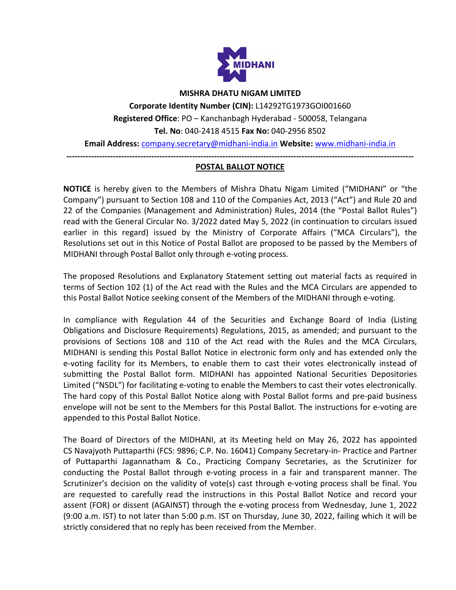

#### **MISHRA DHATU NIGAM LIMITED**

**Corporate Identity Number (CIN):** L14292TG1973GOI001660 **Registered Office**: PO – Kanchanbagh Hyderabad - 500058, Telangana **Tel. No**: 040-2418 4515 **Fax No:** 040-2956 8502

**Email Address:** [company.secretary@midhani-india.in](mailto:company.secretary@midhani-india.in) **Website:** [www.midhani-india.in](http://www.midhani-india.in/)

**-------------------------------------------------------------------------------------------------------------------------------**

#### **POSTAL BALLOT NOTICE**

**NOTICE** is hereby given to the Members of Mishra Dhatu Nigam Limited ("MIDHANI" or "the Company") pursuant to Section 108 and 110 of the Companies Act, 2013 ("Act") and Rule 20 and 22 of the Companies (Management and Administration) Rules, 2014 (the "Postal Ballot Rules") read with the General Circular No. 3/2022 dated May 5, 2022 (in continuation to circulars issued earlier in this regard) issued by the Ministry of Corporate Affairs ("MCA Circulars"), the Resolutions set out in this Notice of Postal Ballot are proposed to be passed by the Members of MIDHANI through Postal Ballot only through e-voting process.

The proposed Resolutions and Explanatory Statement setting out material facts as required in terms of Section 102 (1) of the Act read with the Rules and the MCA Circulars are appended to this Postal Ballot Notice seeking consent of the Members of the MIDHANI through e-voting.

In compliance with Regulation 44 of the Securities and Exchange Board of India (Listing Obligations and Disclosure Requirements) Regulations, 2015, as amended; and pursuant to the provisions of Sections 108 and 110 of the Act read with the Rules and the MCA Circulars, MIDHANI is sending this Postal Ballot Notice in electronic form only and has extended only the e-voting facility for its Members, to enable them to cast their votes electronically instead of submitting the Postal Ballot form. MIDHANI has appointed National Securities Depositories Limited ("NSDL") for facilitating e-voting to enable the Members to cast their votes electronically. The hard copy of this Postal Ballot Notice along with Postal Ballot forms and pre-paid business envelope will not be sent to the Members for this Postal Ballot. The instructions for e-voting are appended to this Postal Ballot Notice.

The Board of Directors of the MIDHANI, at its Meeting held on May 26, 2022 has appointed CS Navajyoth Puttaparthi (FCS: 9896; C.P. No. 16041) Company Secretary-in- Practice and Partner of Puttaparthi Jagannatham & Co., Practicing Company Secretaries, as the Scrutinizer for conducting the Postal Ballot through e-voting process in a fair and transparent manner. The Scrutinizer's decision on the validity of vote(s) cast through e-voting process shall be final. You are requested to carefully read the instructions in this Postal Ballot Notice and record your assent (FOR) or dissent (AGAINST) through the e-voting process from Wednesday, June 1, 2022 (9:00 a.m. IST) to not later than 5:00 p.m. IST on Thursday, June 30, 2022, failing which it will be strictly considered that no reply has been received from the Member.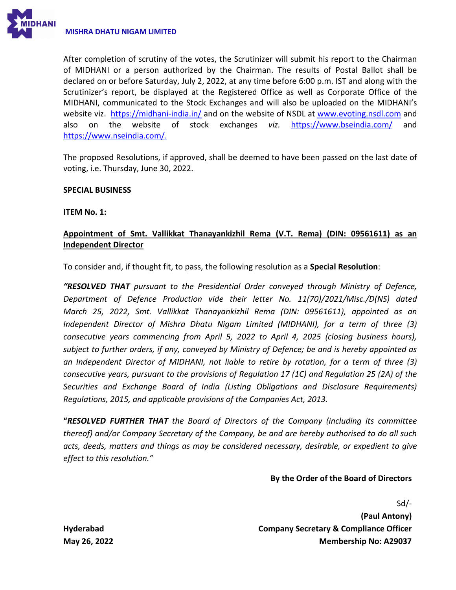

After completion of scrutiny of the votes, the Scrutinizer will submit his report to the Chairman of MIDHANI or a person authorized by the Chairman. The results of Postal Ballot shall be declared on or before Saturday, July 2, 2022, at any time before 6:00 p.m. IST and along with the Scrutinizer's report, be displayed at the Registered Office as well as Corporate Office of the MIDHANI, communicated to the Stock Exchanges and will also be uploaded on the MIDHANI's website viz. <https://midhani-india.in/> and on the website of NSDL at [www.evoting.nsdl.com](http://www.evoting.nsdl.com/) and also on the website of stock exchanges *viz.* <https://www.bseindia.com/> and [https://www.nseindia.com/.](https://www.nseindia.com/)

The proposed Resolutions, if approved, shall be deemed to have been passed on the last date of voting, i.e. Thursday, June 30, 2022.

### **SPECIAL BUSINESS**

**ITEM No. 1:**

# **Appointment of Smt. Vallikkat Thanayankizhil Rema (V.T. Rema) (DIN: 09561611) as an Independent Director**

To consider and, if thought fit, to pass, the following resolution as a **Special Resolution**:

*"RESOLVED THAT pursuant to the Presidential Order conveyed through Ministry of Defence, Department of Defence Production vide their letter No. 11(70)/2021/Misc./D(NS) dated March 25, 2022, Smt. Vallikkat Thanayankizhil Rema (DIN: 09561611), appointed as an Independent Director of Mishra Dhatu Nigam Limited (MIDHANI), for a term of three (3) consecutive years commencing from April 5, 2022 to April 4, 2025 (closing business hours), subject to further orders, if any, conveyed by Ministry of Defence; be and is hereby appointed as an Independent Director of MIDHANI, not liable to retire by rotation, for a term of three (3) consecutive years, pursuant to the provisions of Regulation 17 (1C) and Regulation 25 (2A) of the Securities and Exchange Board of India (Listing Obligations and Disclosure Requirements) Regulations, 2015, and applicable provisions of the Companies Act, 2013.* 

**"***RESOLVED FURTHER THAT the Board of Directors of the Company (including its committee thereof) and/or Company Secretary of the Company, be and are hereby authorised to do all such acts, deeds, matters and things as may be considered necessary, desirable, or expedient to give effect to this resolution."*

## **By the Order of the Board of Directors**

Sd/- **(Paul Antony) Company Secretary & Compliance Officer Membership No: A29037**

**Hyderabad May 26, 2022**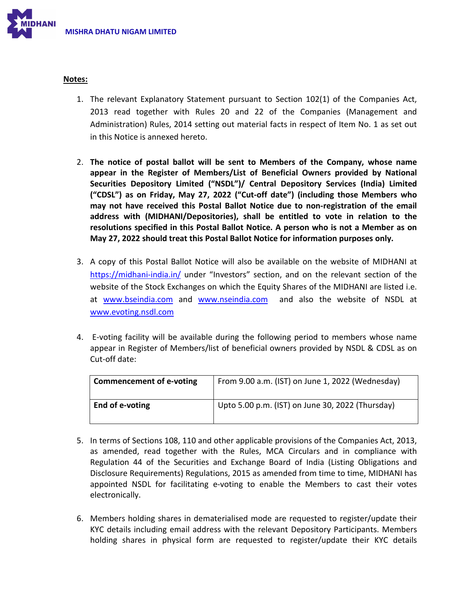

### **Notes:**

- 1. The relevant Explanatory Statement pursuant to Section 102(1) of the Companies Act, 2013 read together with Rules 20 and 22 of the Companies (Management and Administration) Rules, 2014 setting out material facts in respect of Item No. 1 as set out in this Notice is annexed hereto.
- 2. **The notice of postal ballot will be sent to Members of the Company, whose name appear in the Register of Members/List of Beneficial Owners provided by National Securities Depository Limited ("NSDL")/ Central Depository Services (India) Limited ("CDSL") as on Friday, May 27, 2022 ("Cut-off date") (including those Members who may not have received this Postal Ballot Notice due to non-registration of the email address with (MIDHANI/Depositories), shall be entitled to vote in relation to the resolutions specified in this Postal Ballot Notice. A person who is not a Member as on May 27, 2022 should treat this Postal Ballot Notice for information purposes only.**
- 3. A copy of this Postal Ballot Notice will also be available on the website of MIDHANI at <https://midhani-india.in/> under "Investors" section, and on the relevant section of the website of the Stock Exchanges on which the Equity Shares of the MIDHANI are listed i.e. at [www.bseindia.com](http://www.bseindia.com/) and [www.nseindia.com](http://www.nseindia.com/) and also the website of NSDL at [www.evoting.nsdl.com](http://www.evoting.nsdl.com/)
- 4. E-voting facility will be available during the following period to members whose name appear in Register of Members/list of beneficial owners provided by NSDL & CDSL as on Cut-off date:

| <b>Commencement of e-voting</b> | From 9.00 a.m. (IST) on June 1, 2022 (Wednesday) |
|---------------------------------|--------------------------------------------------|
| End of e-voting                 | Upto 5.00 p.m. (IST) on June 30, 2022 (Thursday) |

- 5. In terms of Sections 108, 110 and other applicable provisions of the Companies Act, 2013, as amended, read together with the Rules, MCA Circulars and in compliance with Regulation 44 of the Securities and Exchange Board of India (Listing Obligations and Disclosure Requirements) Regulations, 2015 as amended from time to time, MIDHANI has appointed NSDL for facilitating e-voting to enable the Members to cast their votes electronically.
- 6. Members holding shares in dematerialised mode are requested to register/update their KYC details including email address with the relevant Depository Participants. Members holding shares in physical form are requested to register/update their KYC details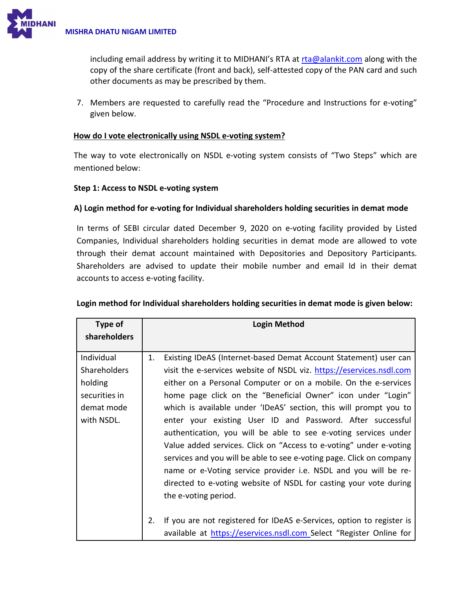

including email address by writing it to MIDHANI's RTA at [rta@alankit.com](mailto:rta@alankit.com) along with the copy of the share certificate (front and back), self-attested copy of the PAN card and such other documents as may be prescribed by them.

7. Members are requested to carefully read the "Procedure and Instructions for e-voting" given below.

## **How do I vote electronically using NSDL e-voting system?**

The way to vote electronically on NSDL e-voting system consists of "Two Steps" which are mentioned below:

## **Step 1: Access to NSDL e-voting system**

# **A) Login method for e-voting for Individual shareholders holding securities in demat mode**

In terms of SEBI circular dated December 9, 2020 on e-voting facility provided by Listed Companies, Individual shareholders holding securities in demat mode are allowed to vote through their demat account maintained with Depositories and Depository Participants. Shareholders are advised to update their mobile number and email Id in their demat accounts to access e-voting facility.

| Type of                                                                                   |          | <b>Login Method</b>                                                                                                                                                                                                                                                                                                                                                                                                                                                                                                                                                                                                                                                                                                                                                                                                                                                      |
|-------------------------------------------------------------------------------------------|----------|--------------------------------------------------------------------------------------------------------------------------------------------------------------------------------------------------------------------------------------------------------------------------------------------------------------------------------------------------------------------------------------------------------------------------------------------------------------------------------------------------------------------------------------------------------------------------------------------------------------------------------------------------------------------------------------------------------------------------------------------------------------------------------------------------------------------------------------------------------------------------|
| shareholders                                                                              |          |                                                                                                                                                                                                                                                                                                                                                                                                                                                                                                                                                                                                                                                                                                                                                                                                                                                                          |
| Individual<br><b>Shareholders</b><br>holding<br>securities in<br>demat mode<br>with NSDL. | 1.<br>2. | Existing IDeAS (Internet-based Demat Account Statement) user can<br>visit the e-services website of NSDL viz. https://eservices.nsdl.com<br>either on a Personal Computer or on a mobile. On the e-services<br>home page click on the "Beneficial Owner" icon under "Login"<br>which is available under 'IDeAS' section, this will prompt you to<br>enter your existing User ID and Password. After successful<br>authentication, you will be able to see e-voting services under<br>Value added services. Click on "Access to e-voting" under e-voting<br>services and you will be able to see e-voting page. Click on company<br>name or e-Voting service provider i.e. NSDL and you will be re-<br>directed to e-voting website of NSDL for casting your vote during<br>the e-voting period.<br>If you are not registered for IDeAS e-Services, option to register is |
|                                                                                           |          | available at https://eservices.nsdl.com Select "Register Online for                                                                                                                                                                                                                                                                                                                                                                                                                                                                                                                                                                                                                                                                                                                                                                                                      |

# **Login method for Individual shareholders holding securities in demat mode is given below:**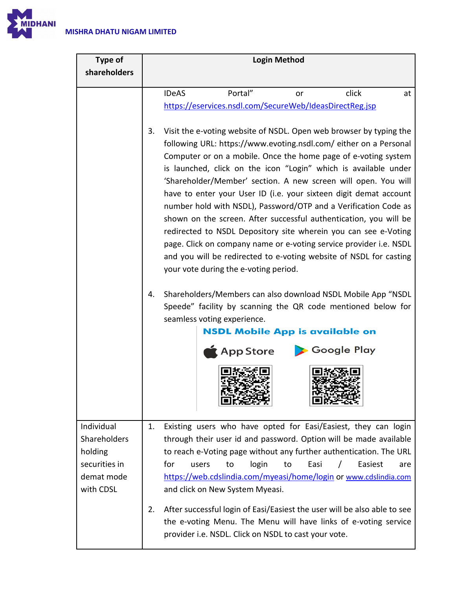

| Portal"<br><b>IDeAS</b><br>click<br>at<br>or                                                                                                                                                                                                                                                                                                                                                                                                                                                                                                                                                                                                                                                                                                                                                                              |  |  |
|---------------------------------------------------------------------------------------------------------------------------------------------------------------------------------------------------------------------------------------------------------------------------------------------------------------------------------------------------------------------------------------------------------------------------------------------------------------------------------------------------------------------------------------------------------------------------------------------------------------------------------------------------------------------------------------------------------------------------------------------------------------------------------------------------------------------------|--|--|
| https://eservices.nsdl.com/SecureWeb/IdeasDirectReg.jsp                                                                                                                                                                                                                                                                                                                                                                                                                                                                                                                                                                                                                                                                                                                                                                   |  |  |
|                                                                                                                                                                                                                                                                                                                                                                                                                                                                                                                                                                                                                                                                                                                                                                                                                           |  |  |
| Visit the e-voting website of NSDL. Open web browser by typing the<br>3.<br>following URL: https://www.evoting.nsdl.com/ either on a Personal<br>Computer or on a mobile. Once the home page of e-voting system<br>is launched, click on the icon "Login" which is available under<br>'Shareholder/Member' section. A new screen will open. You will<br>have to enter your User ID (i.e. your sixteen digit demat account<br>number hold with NSDL), Password/OTP and a Verification Code as<br>shown on the screen. After successful authentication, you will be<br>redirected to NSDL Depository site wherein you can see e-Voting<br>page. Click on company name or e-voting service provider i.e. NSDL<br>and you will be redirected to e-voting website of NSDL for casting<br>your vote during the e-voting period. |  |  |
| Shareholders/Members can also download NSDL Mobile App "NSDL<br>4.<br>Speede" facility by scanning the QR code mentioned below for<br>seamless voting experience.<br><b>NSDL Mobile App is available on</b><br>Google Play<br>$\bigstar$ App Store                                                                                                                                                                                                                                                                                                                                                                                                                                                                                                                                                                        |  |  |
| Existing users who have opted for Easi/Easiest, they can login<br>1.<br>through their user id and password. Option will be made available<br>to reach e-Voting page without any further authentication. The URL<br>for<br>Easi<br>Easiest<br>to<br>login<br>users<br>to<br>are<br>https://web.cdslindia.com/myeasi/home/login or www.cdslindia.com<br>and click on New System Myeasi.<br>2.<br>After successful login of Easi/Easiest the user will be also able to see<br>the e-voting Menu. The Menu will have links of e-voting service<br>provider i.e. NSDL. Click on NSDL to cast your vote.                                                                                                                                                                                                                        |  |  |
|                                                                                                                                                                                                                                                                                                                                                                                                                                                                                                                                                                                                                                                                                                                                                                                                                           |  |  |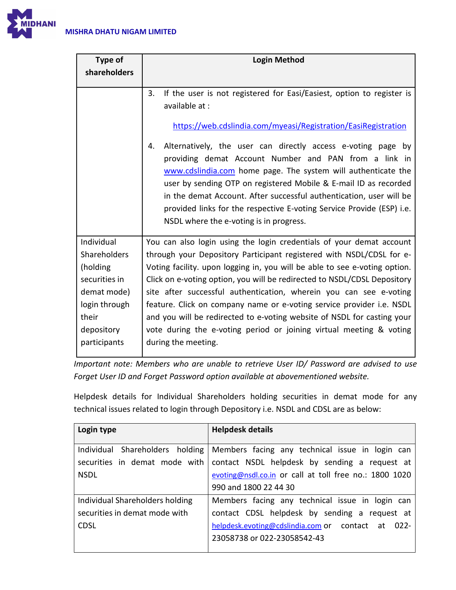

| <b>Type of</b>                                                                                                                 | <b>Login Method</b>                                                                                                                                                                                                                                                                                                                                                                                                                                                                                                                                                                                                            |
|--------------------------------------------------------------------------------------------------------------------------------|--------------------------------------------------------------------------------------------------------------------------------------------------------------------------------------------------------------------------------------------------------------------------------------------------------------------------------------------------------------------------------------------------------------------------------------------------------------------------------------------------------------------------------------------------------------------------------------------------------------------------------|
| shareholders                                                                                                                   |                                                                                                                                                                                                                                                                                                                                                                                                                                                                                                                                                                                                                                |
|                                                                                                                                | If the user is not registered for Easi/Easiest, option to register is<br>3.<br>available at:<br>https://web.cdslindia.com/myeasi/Registration/EasiRegistration<br>Alternatively, the user can directly access e-voting page by<br>4.<br>providing demat Account Number and PAN from a link in<br>www.cdslindia.com home page. The system will authenticate the<br>user by sending OTP on registered Mobile & E-mail ID as recorded<br>in the demat Account. After successful authentication, user will be<br>provided links for the respective E-voting Service Provide (ESP) i.e.<br>NSDL where the e-voting is in progress.  |
| Individual<br>Shareholders<br>(holding<br>securities in<br>demat mode)<br>login through<br>their<br>depository<br>participants | You can also login using the login credentials of your demat account<br>through your Depository Participant registered with NSDL/CDSL for e-<br>Voting facility. upon logging in, you will be able to see e-voting option.<br>Click on e-voting option, you will be redirected to NSDL/CDSL Depository<br>site after successful authentication, wherein you can see e-voting<br>feature. Click on company name or e-voting service provider i.e. NSDL<br>and you will be redirected to e-voting website of NSDL for casting your<br>vote during the e-voting period or joining virtual meeting & voting<br>during the meeting. |

*Important note: Members who are unable to retrieve User ID/ Password are advised to use Forget User ID and Forget Password option available at abovementioned website.*

Helpdesk details for Individual Shareholders holding securities in demat mode for any technical issues related to login through Depository i.e. NSDL and CDSL are as below:

| Login type                      | <b>Helpdesk details</b>                                |
|---------------------------------|--------------------------------------------------------|
|                                 |                                                        |
| Individual Shareholders holding | Members facing any technical issue in login can        |
| securities in demat mode with   | contact NSDL helpdesk by sending a request at          |
| <b>NSDL</b>                     | evoting@nsdl.co.in or call at toll free no.: 1800 1020 |
|                                 | 990 and 1800 22 44 30                                  |
| Individual Shareholders holding | Members facing any technical issue in login can        |
| securities in demat mode with   | contact CDSL helpdesk by sending a request at          |
| <b>CDSL</b>                     | helpdesk.evoting@cdslindia.com or contact at 022-      |
|                                 | 23058738 or 022-23058542-43                            |
|                                 |                                                        |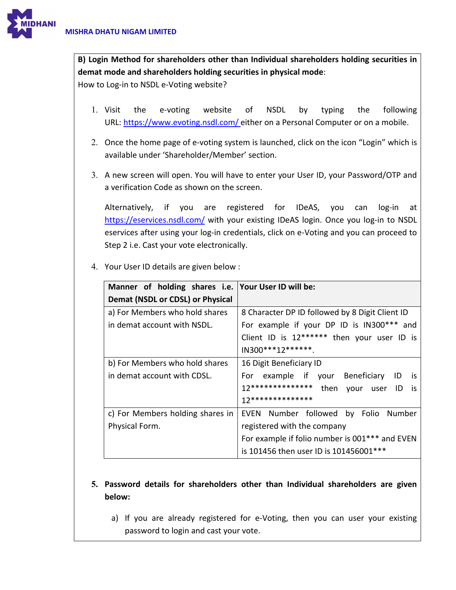

**B) Login Method for shareholders other than Individual shareholders holding securities in demat mode and shareholders holding securities in physical mode**:

How to Log-in to NSDL e-Voting website?

- 1. Visit the e-voting website of NSDL by typing the following URL:<https://www.evoting.nsdl.com/> either on a Personal Computer or on a mobile.
- 2. Once the home page of e-voting system is launched, click on the icon "Login" which is available under 'Shareholder/Member' section.
- 3. A new screen will open. You will have to enter your User ID, your Password/OTP and a verification Code as shown on the screen.

Alternatively, if you are registered for IDeAS, you can log-in at <https://eservices.nsdl.com/> with your existing IDeAS login. Once you log-in to NSDL eservices after using your log-in credentials, click on e-Voting and you can proceed to Step 2 i.e. Cast your vote electronically.

4. Your User ID details are given below :

| Manner of holding shares i.e. Your User ID will be: |                                                 |
|-----------------------------------------------------|-------------------------------------------------|
| Demat (NSDL or CDSL) or Physical                    |                                                 |
| a) For Members who hold shares                      | 8 Character DP ID followed by 8 Digit Client ID |
| in demat account with NSDL.                         | For example if your DP ID is IN300*** and       |
|                                                     | Client ID is 12****** then your user ID is      |
|                                                     | $IN300***12******$                              |
| b) For Members who hold shares                      | 16 Digit Beneficiary ID                         |
| in demat account with CDSL.                         | For example if your Beneficiary<br>ID<br>is.    |
|                                                     | 12*************** then<br>your user ID<br>is is |
|                                                     | 17**************                                |
| c) For Members holding shares in                    | EVEN Number followed by Folio Number            |
| Physical Form.                                      | registered with the company                     |
|                                                     | For example if folio number is 001*** and EVEN  |
|                                                     | is 101456 then user ID is 101456001***          |

- **5. Password details for shareholders other than Individual shareholders are given below:** 
	- a) If you are already registered for e-Voting, then you can user your existing password to login and cast your vote.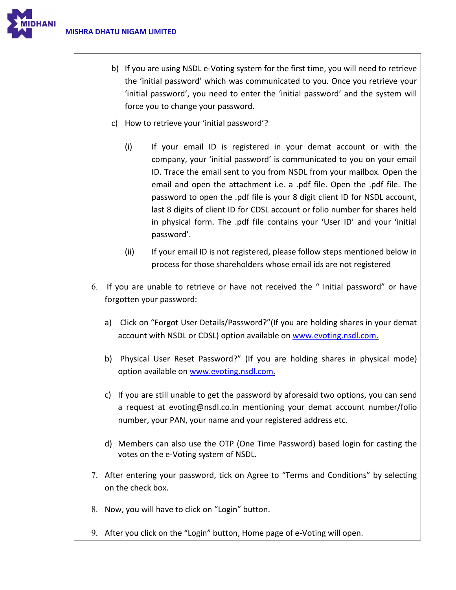

- b) If you are using NSDL e-Voting system for the first time, you will need to retrieve the 'initial password' which was communicated to you. Once you retrieve your 'initial password', you need to enter the 'initial password' and the system will force you to change your password.
- c) How to retrieve your 'initial password'?
	- (i) If your email ID is registered in your demat account or with the company, your 'initial password' is communicated to you on your email ID. Trace the email sent to you from NSDL from your mailbox. Open the email and open the attachment i.e. a .pdf file. Open the .pdf file. The password to open the .pdf file is your 8 digit client ID for NSDL account, last 8 digits of client ID for CDSL account or folio number for shares held in physical form. The .pdf file contains your 'User ID' and your 'initial password'.
	- (ii) If your email ID is not registered, please follow steps mentioned below in process for those shareholders whose email ids are not registered
- 6. If you are unable to retrieve or have not received the " Initial password" or have forgotten your password:
	- a) Click on ["Forgot User Details/Password?"](https://www.evoting.nsdl.com/eVotingWeb/commonhtmls/NewUser.jsp)(If you are holding shares in your demat account with NSDL or CDSL) option available on [www.evoting.nsdl.com.](http://www.evoting.nsdl.com/)
	- b) [Physical User Reset Password?"](https://www.evoting.nsdl.com/eVotingWeb/commonhtmls/PhysicalUser.jsp) (If you are holding shares in physical mode) option available o[n www.evoting.nsdl.com.](http://www.evoting.nsdl.com/)
	- c) If you are still unable to get the password by aforesaid two options, you can send a request at [evoting@nsdl.co.in](mailto:evoting@nsdl.co.in) mentioning your demat account number/folio number, your PAN, your name and your registered address etc.
	- d) Members can also use the OTP (One Time Password) based login for casting the votes on the e-Voting system of NSDL.
- 7. After entering your password, tick on Agree to "Terms and Conditions" by selecting on the check box.
- 8. Now, you will have to click on "Login" button.
- 9. After you click on the "Login" button, Home page of e-Voting will open.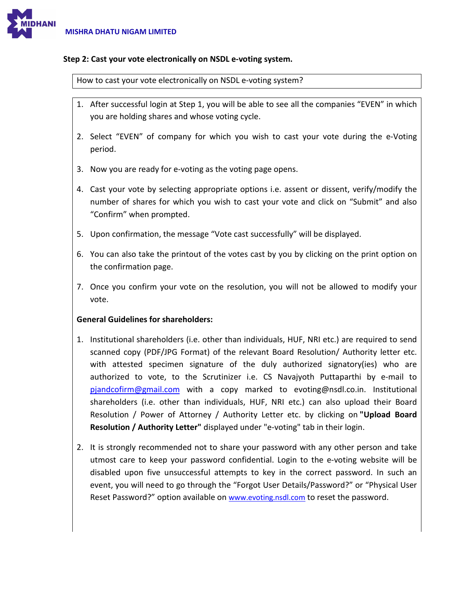

### **Step 2: Cast your vote electronically on NSDL e-voting system.**

How to cast your vote electronically on NSDL e-voting system?

- 1. After successful login at Step 1, you will be able to see all the companies "EVEN" in which you are holding shares and whose voting cycle.
- 2. Select "EVEN" of company for which you wish to cast your vote during the e-Voting period.
- 3. Now you are ready for e-voting as the voting page opens.
- 4. Cast your vote by selecting appropriate options i.e. assent or dissent, verify/modify the number of shares for which you wish to cast your vote and click on "Submit" and also "Confirm" when prompted.
- 5. Upon confirmation, the message "Vote cast successfully" will be displayed.
- 6. You can also take the printout of the votes cast by you by clicking on the print option on the confirmation page.
- 7. Once you confirm your vote on the resolution, you will not be allowed to modify your vote.

## **General Guidelines for shareholders:**

- 1. Institutional shareholders (i.e. other than individuals, HUF, NRI etc.) are required to send scanned copy (PDF/JPG Format) of the relevant Board Resolution/ Authority letter etc. with attested specimen signature of the duly authorized signatory(ies) who are authorized to vote, to the Scrutinizer i.e. CS Navajyoth Puttaparthi by e-mail to [pjandcofirm@gmail.com](mailto:pjandcofirm@gmail.com) with a copy marked to [evoting@nsdl.co.in.](mailto:evoting@nsdl.co.in) Institutional shareholders (i.e. other than individuals, HUF, NRI etc.) can also upload their Board Resolution / Power of Attorney / Authority Letter etc. by clicking on **"Upload Board Resolution / Authority Letter"** displayed under "e-voting" tab in their login.
- 2. It is strongly recommended not to share your password with any other person and take utmost care to keep your password confidential. Login to the e-voting website will be disabled upon five unsuccessful attempts to key in the correct password. In such an event, you will need to go through the ["Forgot User Details/Password?"](https://www.evoting.nsdl.com/eVotingWeb/commonhtmls/NewUser.jsp) or ["Physical User](https://www.evoting.nsdl.com/eVotingWeb/commonhtmls/PhysicalUser.jsp)  [Reset Password?"](https://www.evoting.nsdl.com/eVotingWeb/commonhtmls/PhysicalUser.jsp) option available on www.evoting.nsdl.com to reset the password.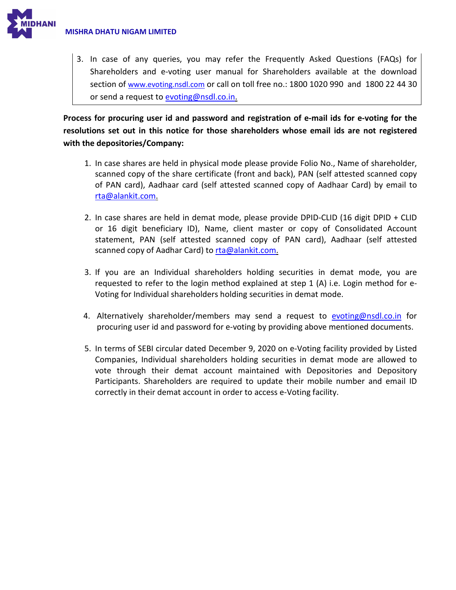

3. In case of any queries, you may refer the Frequently Asked Questions (FAQs) for Shareholders and e-voting user manual for Shareholders available at the download section of [www.evoting.nsdl.com](http://www.evoting.nsdl.com/) or call on toll free no.: 1800 1020 990 and 1800 22 44 30 or send a request to **evoting@nsdl.co.in.** 

**Process for procuring user id and password and registration of e-mail ids for e-voting for the resolutions set out in this notice for those shareholders whose email ids are not registered with the depositories/Company:**

- 1. In case shares are held in physical mode please provide Folio No., Name of shareholder, scanned copy of the share certificate (front and back), PAN (self attested scanned copy of PAN card), Aadhaar card (self attested scanned copy of Aadhaar Card) by email to [rta@alankit.com.](mailto:rta@alankit.com)
- 2. In case shares are held in demat mode, please provide DPID-CLID (16 digit DPID + CLID or 16 digit beneficiary ID), Name, client master or copy of Consolidated Account statement, PAN (self attested scanned copy of PAN card), Aadhaar (self attested scanned copy of Aadhar Card) to [rta@alankit.com.](mailto:rta@alankit.com)
- 3. If you are an Individual shareholders holding securities in demat mode, you are requested to refer to the login method explained at step 1 (A) i.e. Login method for e-Voting for Individual shareholders holding securities in demat mode.
- 4. Alternatively shareholder/members may send a request to [evoting@nsdl.co.in](mailto:evoting@nsdl.co.in) for procuring user id and password for e-voting by providing above mentioned documents.
- 5. In terms of SEBI circular dated December 9, 2020 on e-Voting facility provided by Listed Companies, Individual shareholders holding securities in demat mode are allowed to vote through their demat account maintained with Depositories and Depository Participants. Shareholders are required to update their mobile number and email ID correctly in their demat account in order to access e-Voting facility.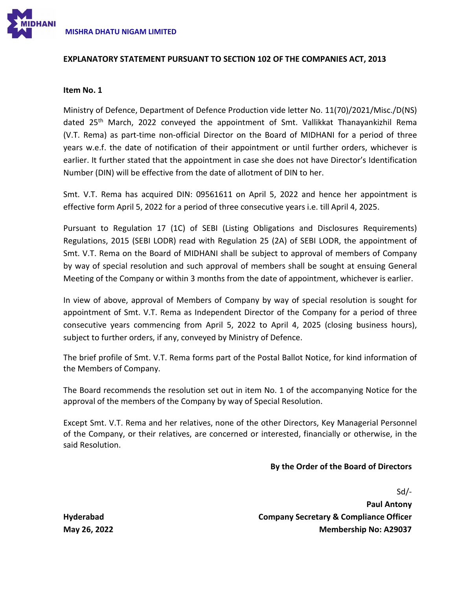

### **EXPLANATORY STATEMENT PURSUANT TO SECTION 102 OF THE COMPANIES ACT, 2013**

#### **Item No. 1**

Ministry of Defence, Department of Defence Production vide letter No. 11(70)/2021/Misc./D(NS) dated 25<sup>th</sup> March, 2022 conveyed the appointment of Smt. Vallikkat Thanayankizhil Rema (V.T. Rema) as part-time non-official Director on the Board of MIDHANI for a period of three years w.e.f. the date of notification of their appointment or until further orders, whichever is earlier. It further stated that the appointment in case she does not have Director's Identification Number (DIN) will be effective from the date of allotment of DIN to her.

Smt. V.T. Rema has acquired DIN: 09561611 on April 5, 2022 and hence her appointment is effective form April 5, 2022 for a period of three consecutive years i.e. till April 4, 2025.

Pursuant to Regulation 17 (1C) of SEBI (Listing Obligations and Disclosures Requirements) Regulations, 2015 (SEBI LODR) read with Regulation 25 (2A) of SEBI LODR, the appointment of Smt. V.T. Rema on the Board of MIDHANI shall be subject to approval of members of Company by way of special resolution and such approval of members shall be sought at ensuing General Meeting of the Company or within 3 months from the date of appointment, whichever is earlier.

In view of above, approval of Members of Company by way of special resolution is sought for appointment of Smt. V.T. Rema as Independent Director of the Company for a period of three consecutive years commencing from April 5, 2022 to April 4, 2025 (closing business hours), subject to further orders, if any, conveyed by Ministry of Defence.

The brief profile of Smt. V.T. Rema forms part of the Postal Ballot Notice, for kind information of the Members of Company.

The Board recommends the resolution set out in item No. 1 of the accompanying Notice for the approval of the members of the Company by way of Special Resolution.

Except Smt. V.T. Rema and her relatives, none of the other Directors, Key Managerial Personnel of the Company, or their relatives, are concerned or interested, financially or otherwise, in the said Resolution.

### **By the Order of the Board of Directors**

Sd/-

**Paul Antony Company Secretary & Compliance Officer Membership No: A29037**

**Hyderabad May 26, 2022**